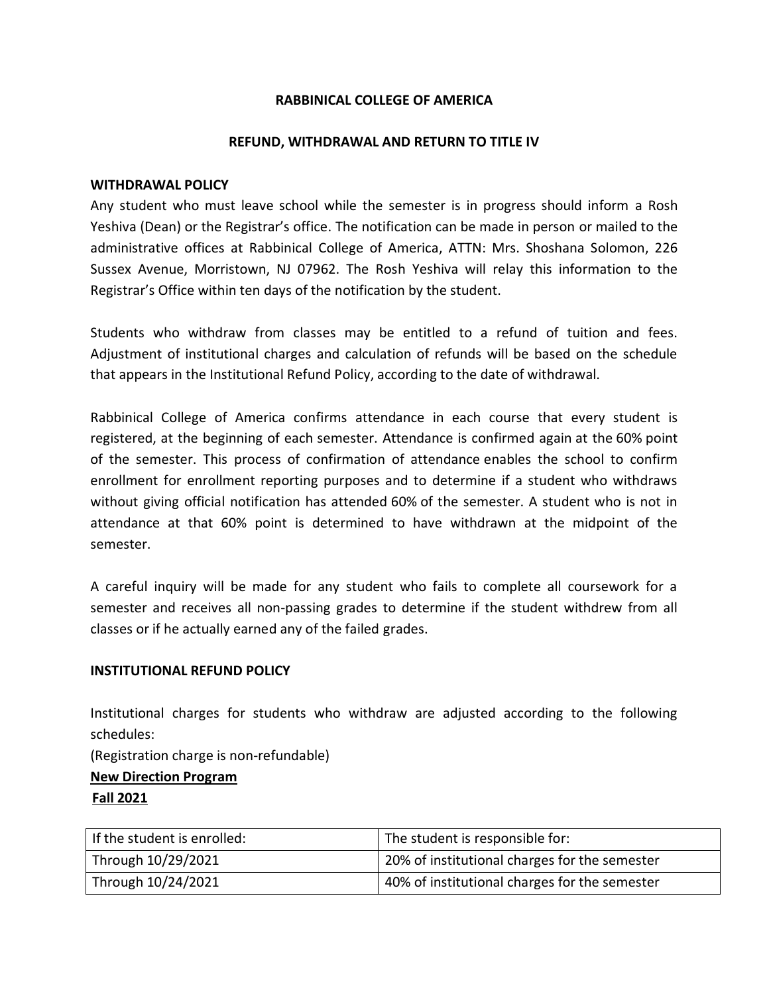# **RABBINICAL COLLEGE OF AMERICA**

### **REFUND, WITHDRAWAL AND RETURN TO TITLE IV**

#### **WITHDRAWAL POLICY**

Any student who must leave school while the semester is in progress should inform a Rosh Yeshiva (Dean) or the Registrar's office. The notification can be made in person or mailed to the administrative offices at Rabbinical College of America, ATTN: Mrs. Shoshana Solomon, 226 Sussex Avenue, Morristown, NJ 07962. The Rosh Yeshiva will relay this information to the Registrar's Office within ten days of the notification by the student.

Students who withdraw from classes may be entitled to a refund of tuition and fees. Adjustment of institutional charges and calculation of refunds will be based on the schedule that appears in the Institutional Refund Policy, according to the date of withdrawal.

Rabbinical College of America confirms attendance in each course that every student is registered, at the beginning of each semester. Attendance is confirmed again at the 60% point of the semester. This process of confirmation of attendance enables the school to confirm enrollment for enrollment reporting purposes and to determine if a student who withdraws without giving official notification has attended 60% of the semester. A student who is not in attendance at that 60% point is determined to have withdrawn at the midpoint of the semester.

A careful inquiry will be made for any student who fails to complete all coursework for a semester and receives all non-passing grades to determine if the student withdrew from all classes or if he actually earned any of the failed grades.

#### **INSTITUTIONAL REFUND POLICY**

Institutional charges for students who withdraw are adjusted according to the following schedules:

(Registration charge is non-refundable)

**New Direction Program**

**Fall 2021**

| If the student is enrolled: | The student is responsible for:               |
|-----------------------------|-----------------------------------------------|
| Through 10/29/2021          | 20% of institutional charges for the semester |
| Through 10/24/2021          | 40% of institutional charges for the semester |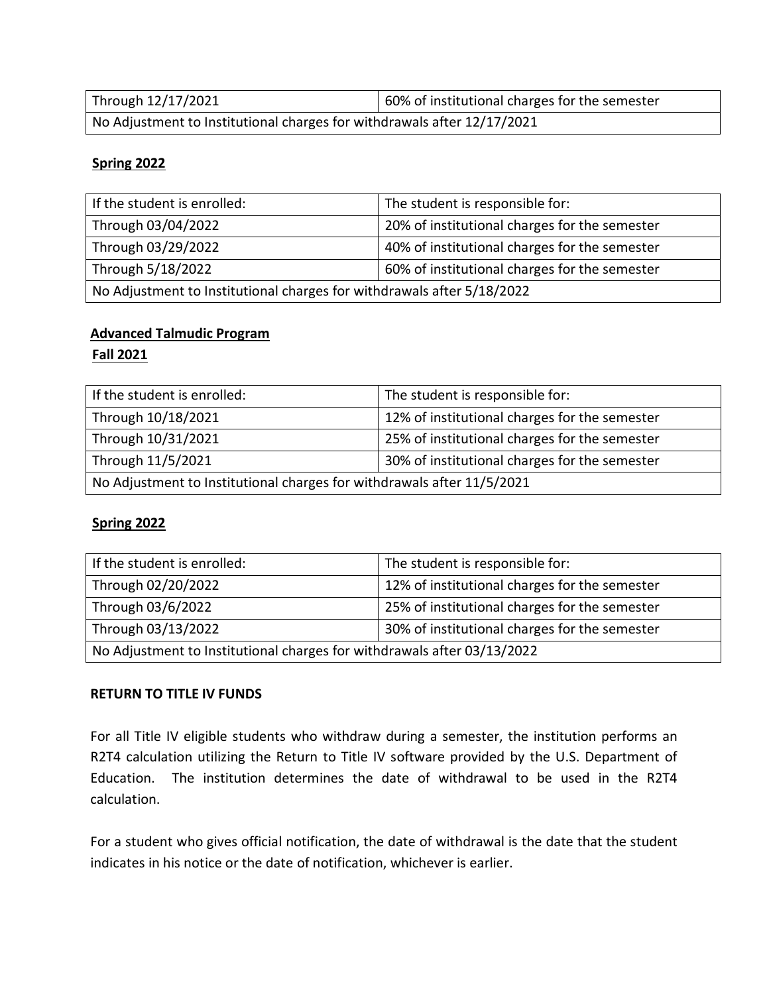| Through 12/17/2021                                                      | 60% of institutional charges for the semester |
|-------------------------------------------------------------------------|-----------------------------------------------|
| No Adjustment to Institutional charges for withdrawals after 12/17/2021 |                                               |

# **Spring 2022**

| If the student is enrolled:                                            | The student is responsible for:               |  |
|------------------------------------------------------------------------|-----------------------------------------------|--|
| Through 03/04/2022                                                     | 20% of institutional charges for the semester |  |
| Through 03/29/2022                                                     | 40% of institutional charges for the semester |  |
| Through 5/18/2022                                                      | 60% of institutional charges for the semester |  |
| No Adjustment to Institutional charges for withdrawals after 5/18/2022 |                                               |  |

# **Advanced Talmudic Program**

## **Fall 2021**

| If the student is enrolled:                                            | The student is responsible for:               |  |
|------------------------------------------------------------------------|-----------------------------------------------|--|
| Through 10/18/2021                                                     | 12% of institutional charges for the semester |  |
| Through 10/31/2021                                                     | 25% of institutional charges for the semester |  |
| Through 11/5/2021                                                      | 30% of institutional charges for the semester |  |
| No Adjustment to Institutional charges for withdrawals after 11/5/2021 |                                               |  |

# **Spring 2022**

| If the student is enrolled:                                             | The student is responsible for:               |  |
|-------------------------------------------------------------------------|-----------------------------------------------|--|
| Through 02/20/2022                                                      | 12% of institutional charges for the semester |  |
| Through 03/6/2022                                                       | 25% of institutional charges for the semester |  |
| Through 03/13/2022                                                      | 30% of institutional charges for the semester |  |
| No Adjustment to Institutional charges for withdrawals after 03/13/2022 |                                               |  |

#### **RETURN TO TITLE IV FUNDS**

For all Title IV eligible students who withdraw during a semester, the institution performs an R2T4 calculation utilizing the Return to Title IV software provided by the U.S. Department of Education. The institution determines the date of withdrawal to be used in the R2T4 calculation.

For a student who gives official notification, the date of withdrawal is the date that the student indicates in his notice or the date of notification, whichever is earlier.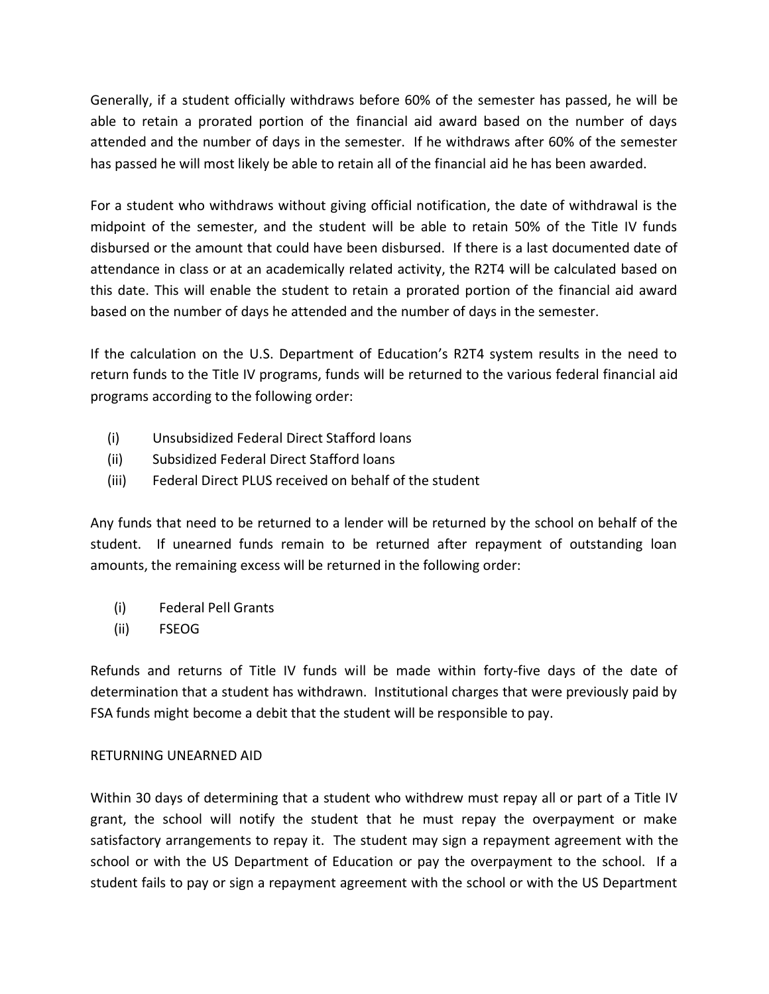Generally, if a student officially withdraws before 60% of the semester has passed, he will be able to retain a prorated portion of the financial aid award based on the number of days attended and the number of days in the semester. If he withdraws after 60% of the semester has passed he will most likely be able to retain all of the financial aid he has been awarded.

For a student who withdraws without giving official notification, the date of withdrawal is the midpoint of the semester, and the student will be able to retain 50% of the Title IV funds disbursed or the amount that could have been disbursed. If there is a last documented date of attendance in class or at an academically related activity, the R2T4 will be calculated based on this date. This will enable the student to retain a prorated portion of the financial aid award based on the number of days he attended and the number of days in the semester.

If the calculation on the U.S. Department of Education's R2T4 system results in the need to return funds to the Title IV programs, funds will be returned to the various federal financial aid programs according to the following order:

- (i) Unsubsidized Federal Direct Stafford loans
- (ii) Subsidized Federal Direct Stafford loans
- (iii) Federal Direct PLUS received on behalf of the student

Any funds that need to be returned to a lender will be returned by the school on behalf of the student. If unearned funds remain to be returned after repayment of outstanding loan amounts, the remaining excess will be returned in the following order:

- (i) Federal Pell Grants
- (ii) FSEOG

Refunds and returns of Title IV funds will be made within forty-five days of the date of determination that a student has withdrawn. Institutional charges that were previously paid by FSA funds might become a debit that the student will be responsible to pay.

# RETURNING UNEARNED AID

Within 30 days of determining that a student who withdrew must repay all or part of a Title IV grant, the school will notify the student that he must repay the overpayment or make satisfactory arrangements to repay it. The student may sign a repayment agreement with the school or with the US Department of Education or pay the overpayment to the school. If a student fails to pay or sign a repayment agreement with the school or with the US Department